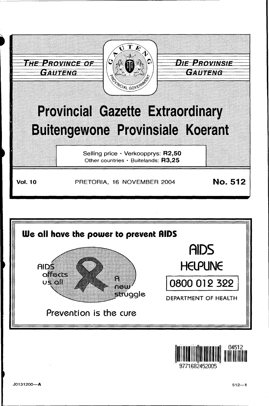



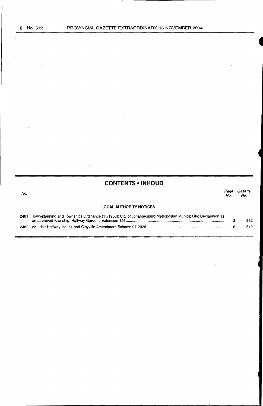$\sim$ 

No.

# **CONTENTS •INHOUD**

Page Gazette No. No.

 $\bar{\beta}$ 

# **LOCAL AUTHORITY NOTICES**

 $\bar{\gamma}$ 

 $\bar{z}$ 

| 2481 Town-planning and Townships Ordinance (15/1986): City of Johannesburg Metropolitan Municipality: Declaration as |     |
|----------------------------------------------------------------------------------------------------------------------|-----|
|                                                                                                                      | 512 |
|                                                                                                                      | 512 |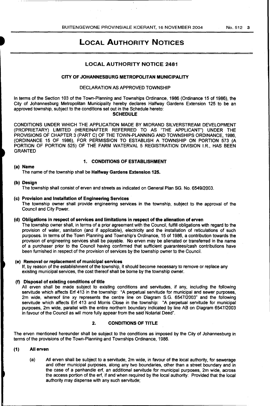# LOCAL AUTHORITY NOTICES

# LOCAL AUTHORITY NOTICE 2481

#### CITY OF JOHANNESBURG METROPOLITAN MUNICIPALITY

#### DECLARATION AS APPROVED TOWNSHIP

In terms of the Section 103 of the Town-Planning and Townships Ordinance, 1986 (Ordinance 15 of 1986), the City of Johannesburg Metropolitan Municipality hereby declares Halfway Gardens Extension 125 to be an approved township, subject to the conditions set out in the Schedule hereto: **SCHEDULE** 

CONDITIONS UNDER WHICH THE APPLICATION MADE BY MIDRAND SILVERSTREAM DEVELOPMENT (PROPRIETARY) LIMITED (HEREINAFTER REFERRED TO AS "THE APPLICANT") UNDER THE PROVISIONS OF CHAPTER 3 (PART C) OF THE TOWN-PLANNING AND TOWNSHIPS ORDINANCE, 1986, (ORDINANCE 15 OF 1986), FOR PERMISSION TO ESTABLISH A TOWNSHIP ON PORTION 573 (A PORTION OF PORTION 525) OF THE FARM WATERVAL 5 REGISTRATION DIVISION I.R., HAS BEEN GRANTED

# 1. CONDITIONS OF ESTABLISHMENT

## (a) Name

The name of the township shall be Halfway Gardens Extension 125.

## (b) Design

The township shall consist of erven and streets as indicated on General Plan SG. No. 6549/2003.

#### (c) Provision and Installation of Engineering Services

The township owner shall provide engineering services in the township, subject to the approval of the Council and City Power.

#### (d) Obligations in respect of services and limitations in respect of the alienation of erven

The township owner shall, in terms of a prior agreement with the Council, fulfill obligations with regard to the provision of water, sanitation (and if applicable), electricity and the installation of reticulations of such purposes. In terms of the Town Planning and Township's Ordinance, 15 of 1986, a contribution towards the provision of engineering services shall be payable. No erven may be alienated or transferred in the name of a purchaser prior to the Council having confirmed that sufficient guarantees/cash contributions have been furnished in respect of the provision of services by the township owner to the Council.

# (e) Removal or replacement of municipal services

If, by reason of the establishment of the township, it should become necessary to remove or replace any existing municipal services, the cost thereof shall be borne by the township owner.

# (f) Disposal of existing conditions of title

All erven shall be made subject to existing conditions and servitudes, if any, including the following servitude which affects Erf 413 in the township: "A perpetual servitude for municipal and sewer purposes, 2m wide, whereof line xy represents the centre line on Diagram S.G. 6547/2003" and the following servitude which affects Erf 413 and Morris Close in the township: "A perpetual servitude for municipal purposes, 2m wide, parallel with the entire northern boundary indicated by line AB on Diagram 6547/2003 in favour of the Council as will more fully appear from the said Notarial Deed".

# 2. CONDITIONS OF TITLE

The erven mentioned hereunder shall be subject to the conditions as imposed by the City of Johannesburg in terms of the provisions of the Town-Planning and Townships Ordinance, 1986.

#### (1) All erven

(a) All erven shall be subject to a servitude, 2m wide, in favour of the local authority, for sewerage and other municipal purposes, along any two boundaries, other than a street boundary and in the case of a panhandle erf, an additional servitude for municipal purposes, 2m wide, across the access portion of the erf, if and when required by the local authority: Provided that the local authority may dispense with any such servitude;

No. 512 3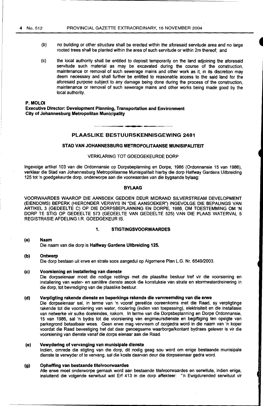# **4** No. 512

PROVINCIAL GAZETTE EXTRAORDINARY, 16 NOVEMBER 2004

- (b) no building or other structure shall be erected within the aforesaid servitude area and no large rooted trees shall be planted within the area of such servitude or within 2m thereof; and
- (c) the local authority shall be entitled to deposit temporarily on the land adjoining the aforesaid servitude such material as may be excavated during the course of the construction, maintenance or removal of such sewerage mains and other work as it, in its discretion may deem necessary and shall further be entitled to reasonable access to the said land for the aforesaid purpose subject to any damage being done during the process of the construction, maintenance or removal of such sewerage mains and other works being made good by the local authority.

#### **P.MOLOI**

**Executive Director: Development Planning, Transportation and Environment City of Johannesburg Metropolitan Municipality** 

# **PLAASLIKE BESTUURSKENNISGEWING 2481**

# **STAD VAN JOHANNESBURG METROPOLITAANSE MUNISIPALITEIT**

## VERKLARING TOT GOEDGEKEURDE DORP

lngevolge artikel 103 van die Ordonnansie op Dorpsbeplanning en Dorpe, 1986 (Ordonnansie 15 van 1986), verklaar die Stad van Johannesburg Metropolitaanse Munisipaliteit hierby die dorp Halfway Gardens Uitbreiding 125 tot 'n goedgekeurde dorp, onderworpe aan die voorwaardes van die bygaande bylaag:

# **BYLAAG**

VOORWAARDES WAAROP DIE AANSOEK GEDOEN DEUR MIDRAND SILVERSTREAM DEVELOPMENT (EIENDOMS) BEPERK (HIERONDER VERWYS IN "DIE AANSOEKER") INGEVOLGE DIE BEPALINGS VAN ARTIKEL 3 (GEDEELTE C) OP DIE DORPSBEPLANNING EN DORPE, 1986, OM TOESTEMMING OM 'N DORP TE STIG OP GEDEELTE 573 (GEDEELTE VAN GEDEELTE 525) VAN DIE PLAAS WATERVAL 5 REGISTRASIE AFDELING I.R. GOEDGEKEUR IS.

#### **1. STIGTINGSVOORWAARDES**

#### **(a) Naam**  Die naam van die dorp is **Halfway Gardens Uitbreiding 125.**

# **(b) Ontwerp**  Die dorp bestaan uit erwe en strate soos aangedui op Algemene Plan L.G. Nr. 6549/2003.

#### **(c) Voorsiening en installerlng van dienste**

Die dorpseienaar moet die nodige reelings met die plaaslike bestuur tref vir die voorsiening en installering van water- en sanitêre dienste asook die konstuksie van strate en stormwaterdreinering in die dorp, tot bevrediging van die plaaslike bestuur.

#### **(d) Verpligting rakende dienste en beperkings rakende die vervreemding van die erwe**

Die dorpseienaar sal, in terme van 'n vooraf gereëlde ooreenkoms met die Raad, sy verpligtinge rakende tot die voorsiening van water, rioolering (indien van toepassing), elektrisiteit en die installasie van netwerke vir sulke doeleindes, nakom. In terme van die Dorpsbeplanning en Dorpe Ordonnansie, 15 van 1986, sal 'n bydra tot die voorsiening van enginieursdienste en begiftiging ten opsigte van parkegrond betaalbaar wees. Geen erwe mag vervreem of oorgedra word in die naam van 'n koper voordat die Raad bevestiging het dat daar genoegsame waarborge/kontant bydraes gelewer is vir die voorsiening van dienste vanaf die dorps eienaar aan die Raad.

# **(e) Vewydering of vervanging van munisipale dlenste**

lndien, omrede die stigting van die dorp, dit nodig geag sou word om enige bestaande munisipale dienste te verwyder of te vervang, sal die koste daarvan deur die dorpseienaar gedra word.

#### **(g) Opheffing van bestaande titelvoorwaardes**

Aile erwe moet onderworpe gemaak word aan bestaande titelvoorwaardes en serwitute, indien enige, insluitend die volgende serwituut wat Erf 413 in die dorp affekteer: "'n Ewigdurended serwituut vir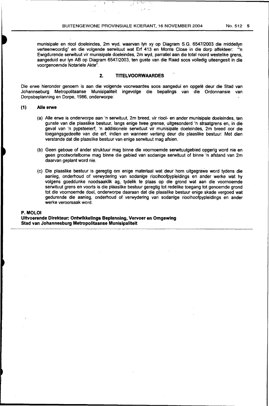'·

 $\mathbf{\hat{y}}$ 

munisipale en riool doeleindes, 2m wyd, waarvan lyn xy op Diagram S.G. 6547/2003 die middellyn verteenwoordig" en die volgende serwituut wat Erf 413 en Morris Close in die dorp affekteer: '"n Ewigdurende serwituut vir munisipale doeleindes, 2m wyd, parrallel aan die total noord westelike grens, aangeduid eur lyn AB op Diagram 6547/2003, ten guste van die Raad soos volledig uiteengesit in die voorgenoemde Notariele Akte".

# **2. TITELVOORWAARDES**

Die erwe hieronder genoem is aan die volgende voorwaardes soos aangedui en opgelê deur die Stad van Johannseburg Metropolitaanse Munisipaliteit ingevolge die bepalings van die Ordonnansie van Dorpsbeplanning en Dorpe, 1986, onderworpe:

### ( **1) Aile erwe**

- (a) Aile erwe is onderworpe aan 'n serwituut, 2m breed, vir riool- en ander munisipale doeleindes, ten gunste van die plaaslike bestuur. langs enige twee grense, uitgesonderd 'n straatgrens en, in die geval van 'n pypsteelerf, 'n addisionele serwituut vir munisipale doeleindes, 2m breed oor die toegangsgedeelte van die erf, indien en wanneer verlang deur die plaaslike bestuur: Met dien verstande dat die plaaslike bestuur van enige serwituut mag afsien.
- (b) Geen geboue of ander struktuur mag binne die voomoemde serwituutgebied opgerig word nie en geen grootwortelbome mag binne die gebied van sodanige serwituut of binne 'n afstand van 2m daarvan geplant word nie.
- (c) Die plaaslike bestuur is geregtig om enige materiaal wat deur hom uitgegrawe word tydens die aanleg, onderhoud of verwydering van sodanige rioolhoofpypleidings en ander werke wat hy volgens goeddunke noodsaaklik ag, tydelik te plaas op die grond wat aan die voornoemde serwituut grens en voorts is die plaaslike bestuur geregtig tot redelike toegang tot genoemde grond tot die voornoemde doel, onderworpe daaraan dat die plaaslike bestuur enige skade vergoed wat gedurende die aanleg, onderhoud of verwydering van sodanige rioolhoofpypleidings en ander werke veroorsaak word.

#### **P.MOLOI**

**Uitvoerende Direkteur: Ontwikkelings Beplanning, Vervoer en Omgewing Stad van Johannesburg Metropolitaanse Munisipaliteit**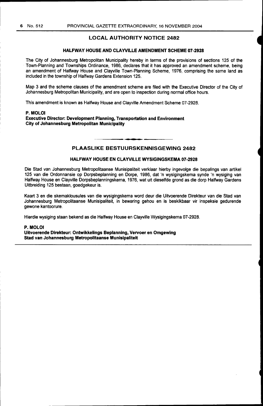# LOCAL AUTHORITY NOTICE 2482

# HALFWAY HOUSE AND CLAYVILLE AMENDMENT SCHEME 07-2928

The City of Johannesburg Metropolitan Municipality hereby in terms of the provisions of sections 125 of the Town-Planning and Townships Ordinance, 1986, declares that it has approved an amendment scheme, being an amendment of Halfway House and Clayville Town-Planning Scheme, 1976, comprising the same land as included in the township of Halfway Gardens Extension 125.

Map 3 and the scheme clauses of the amendment scheme are filed with the Executive Director of the City of Johannesburg Metropolitan Municipality, and are open to inspection during normal office hours.

This amendment is known as Halfway House and Clayville Amendment Scheme 07-2928.

# P.MOLOI

Executive Director: Development Planning, Transportation and Environment City of Johannesburg Metropolitan Municipality

# PLAASLIKE BESTUURSKENNISGEWING 2482

### HALFWAY HOUSE EN CLAYVILLE WYSIGINGSKEMA 07-2928

Die Stad van Johannesburg Metropolitaanse Munisipaliteit verklaar hierby ingevolge die bepalings van artikel 125 van die Ordonnansie op Dorpsbeplanning en Dorpe, 1986, dat 'n wysigingskema synde 'n wysiging van Halfway House en Clayville Dorpsbeplanningskema, 1976, wat uit dieselfde grond as die dorp Halfway Gardens Uitbreiding 125 bestaan, goedgekeur is.

Kaart 3 en die skemaklousules van die wysigingskema word deur die Uitvoerende Direkteur van die Stad van Johannesburg Metropolitaanse Munisipaliteit, in bewaring gehou en is beskikbaar vir inspeksie gedurende gewone kantoorure.

Hierdie wysiging staan bekend as die Halfway House en Clayville Wysigingskema 07-2928.

#### P.MOLOI

Uitvoerende Direkteur: Ontwikkelings Beplanning, Vervoer en Omgewing Stad van Johannesburg Metropolitaanse Munisipaliteit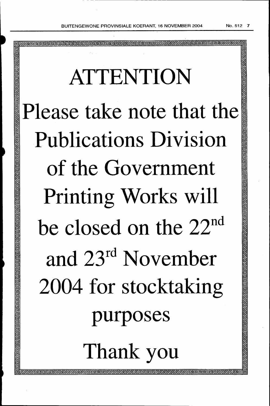-----------------.

# ATTENTION Please take note that the Publications Division of the Government Printing Works will be closed on the 22<sup>nd</sup> and 23rd November 2004 for stocktaking purposes Thank you